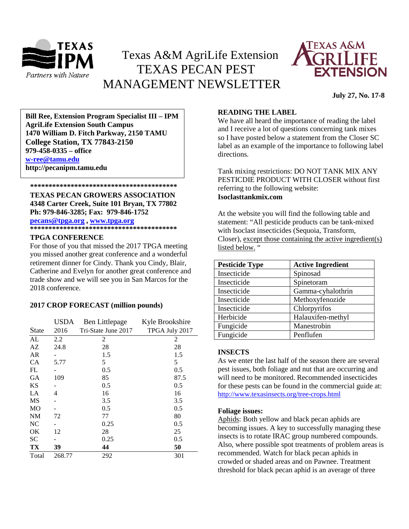

# Texas A&M AgriLife Extension TEXAS PECAN PEST MANAGEMENT NEWSLETTER



**July 27, No. 17-8**

**\*\*\*\*\*\*\*\*\*\*\*\*\*\*\*\*\*\*\*\*\*\*\*\*\*\*\*\*\*\*\*\*\*\*\*\*\*\*\*\* 1470 William D. Fitch Parkway, 2150 TAMU Bill Ree, Extension Program Specialist III – IPM AgriLife Extension South Campus College Station, TX 77843-2150 979-458-0335 – office [w-ree@tamu.edu](mailto:w-ree@tamu.edu) http://pecanipm.tamu.edu**

 **\*\*\*\*\*\*\*\*\*\*\*\*\*\*\*\*\*\*\*\*\*\*\*\*\*\*\*\*\*\*\*\*\*\*\*\*\*\*\*\***

**TEXAS PECAN GROWERS ASSOCIATION 4348 Carter Creek, Suite 101 Bryan, TX 77802 Ph: 979-846-3285; Fax: 979-846-1752**

**[pecans@tpga.org](mailto:pecans@tpga.org) , [www.tpga.org](http://www.tpga.org/) \*\*\*\*\*\*\*\*\*\*\*\*\*\*\*\*\*\*\*\*\*\*\*\*\*\*\*\*\*\*\*\*\*\*\*\*\*\*\*\***

## **TPGA CONFERENCE**

For those of you that missed the 2017 TPGA meeting you missed another great conference and a wonderful retirement dinner for Cindy. Thank you Cindy, Blair, Catherine and Evelyn for another great conference and trade show and we will see you in San Marcos for the 2018 conference.

#### **2017 CROP FORECAST (million pounds)**

|                | <b>USDA</b> | Ben Littlepage      | Kyle Brookshire |
|----------------|-------------|---------------------|-----------------|
| <b>State</b>   | 2016        | Tri-State June 2017 | TPGA July 2017  |
| AL             | 2.2         | 2                   | 2               |
| AZ             | 24.8        | 28                  | 28              |
| AR             |             | 1.5                 | 1.5             |
| CA             | 5.77        | 5                   | 5               |
| FL             |             | 0.5                 | 0.5             |
| GА             | 109         | 85                  | 87.5            |
| KS             |             | 0.5                 | 0.5             |
| LA             | 4           | 16                  | 16              |
| MS             |             | 3.5                 | 3.5             |
| M <sub>O</sub> |             | 0.5                 | 0.5             |
| <b>NM</b>      | 72          | 77                  | 80              |
| NC             |             | 0.25                | 0.5             |
| OK             | 12          | 28                  | 25              |
| <b>SC</b>      |             | 0.25                | 0.5             |
| TX             | 39          | 44                  | 50              |
| Total          | 268.77      | 292                 | 301             |

#### **READING THE LABEL**

We have all heard the importance of reading the label and I receive a lot of questions concerning tank mixes so I have posted below a statement from the Closer SC label as an example of the importance to following label directions.

Tank mixing restrictions: DO NOT TANK MIX ANY PESTICDIE PRODUCT WITH CLOSER without first referring to the following website: **Isoclasttankmix.com**

At the website you will find the following table and statement: "All pesticide products can be tank-mixed with Isoclast insecticides (Sequoia, Transform, Closer), except those containing the active ingredient(s) listed below. "

| <b>Pesticide Type</b> | <b>Active Ingredient</b> |
|-----------------------|--------------------------|
| Insecticide           | Spinosad                 |
| Insecticide           | Spinetoram               |
| Insecticide           | Gamma-cyhalothrin        |
| Insecticide           | Methoxyfenozide          |
| Insecticide           | Chlorpyrifos             |
| Herbicide             | Halauxifen-methyl        |
| Fungicide             | Manestrobin              |
| Fungicide             | Penflufen                |

## **INSECTS**

As we enter the last half of the season there are several pest issues, both foliage and nut that are occurring and will need to be monitored. Recommended insecticides for these pests can be found in the commercial guide at: <http://www.texasinsects.org/tree-crops.html>

#### **Foliage issues:**

Aphids: Both yellow and black pecan aphids are becoming issues. A key to successfully managing these insects is to rotate IRAC group numbered compounds. Also, where possible spot treatments of problem areas is recommended. Watch for black pecan aphids in crowded or shaded areas and on Pawnee. Treatment threshold for black pecan aphid is an average of three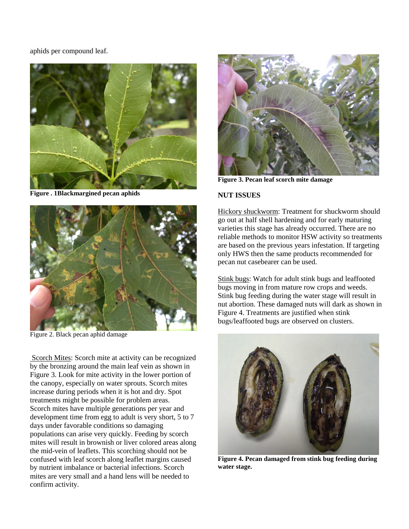aphids per compound leaf.



**Figure . 1Blackmargined pecan aphids**



Figure 2. Black pecan aphid damage

Scorch Mites: Scorch mite at activity can be recognized by the bronzing around the main leaf vein as shown in Figure 3. Look for mite activity in the lower portion of the canopy, especially on water sprouts. Scorch mites increase during periods when it is hot and dry. Spot treatments might be possible for problem areas. Scorch mites have multiple generations per year and development time from egg to adult is very short, 5 to 7 days under favorable conditions so damaging populations can arise very quickly. Feeding by scorch mites will result in brownish or liver colored areas along the mid-vein of leaflets. This scorching should not be confused with leaf scorch along leaflet margins caused by nutrient imbalance or bacterial infections. Scorch mites are very small and a hand lens will be needed to confirm activity.



**Figure 3. Pecan leaf scorch mite damage**

## **NUT ISSUES**

Hickory shuckworm: Treatment for shuckworm should go out at half shell hardening and for early maturing varieties this stage has already occurred. There are no reliable methods to monitor HSW activity so treatments are based on the previous years infestation. If targeting only HWS then the same products recommended for pecan nut casebearer can be used.

Stink bugs: Watch for adult stink bugs and leaffooted bugs moving in from mature row crops and weeds. Stink bug feeding during the water stage will result in nut abortion. These damaged nuts will dark as shown in Figure 4. Treatments are justified when stink bugs/leaffooted bugs are observed on clusters.



**Figure 4. Pecan damaged from stink bug feeding during water stage.**